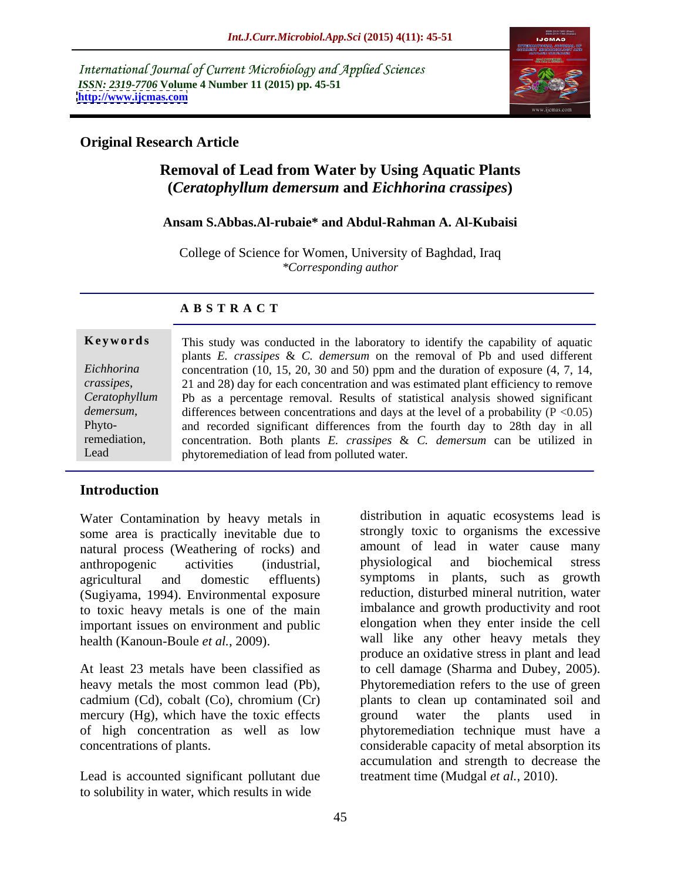International Journal of Current Microbiology and Applied Sciences *ISSN: 2319-7706* **Volume 4 Number 11 (2015) pp. 45-51 <http://www.ijcmas.com>**



### **Original Research Article**

# **Removal of Lead from Water by Using Aquatic Plants (***Ceratophyllum demersum* **and** *Eichhorina crassipes***)**

### **Ansam S.Abbas.Al-rubaie\* and Abdul-Rahman A. Al-Kubaisi**

College of Science for Women, University of Baghdad, Iraq *\*Corresponding author*

### **A B S T R A C T**

| plants $E$ . crassipes $\& C$ . demersum on the removal of Pb and used different<br>Eichhorina<br>concentration $(10, 15, 20, 30, 450)$ ppm and the duration of exposure $(4, 7, 14, 14)$ |  |
|-------------------------------------------------------------------------------------------------------------------------------------------------------------------------------------------|--|
|                                                                                                                                                                                           |  |
|                                                                                                                                                                                           |  |
| crassipes,<br>21 and 28) day for each concentration and was estimated plant efficiency to remove                                                                                          |  |
| Ceratophyllum   Pb as a percentage removal. Results of statistical analysis showed significant                                                                                            |  |
| demersum,<br>differences between concentrations and days at the level of a probability ( $P \le 0.05$ )                                                                                   |  |
| Phyto-<br>and recorded significant differences from the fourth day to 28th day in all                                                                                                     |  |
| remediation,<br>concentration. Both plants $E$ , crassipes & $C$ , demersum can be utilized in                                                                                            |  |
| Lead<br>phytoremediation of lead from polluted water.                                                                                                                                     |  |

### **Introduction**

Water Contamination by heavy metals in some area is practically inevitable due to natural process (Weathering of rocks) and amount of lead in water cause many<br>anthronogenic activities (industrial physiological and biochemical stress (Sugiyama, 1994). Environmental exposure to toxic heavy metals is one of the main important issues on environment and public

mercury (Hg), which have the toxic effects ground water the plants used in

Lead is accounted significant pollutant due to solubility in water, which results in wide

anthropogenic activities (industrial, agricultural and domestic effluents) symptoms in plants, such as growth health (Kanoun-Boule *et al.*, 2009). wall like any other heavy metals they At least 23 metals have been classified as to cell damage (Sharma and Dubey, 2005). heavy metals the most common lead (Pb), Phytoremediation refers to the use of green cadmium (Cd), cobalt (Co), chromium (Cr) plants to clean up contaminated soil and of high concentration as well as low phytoremediation technique must have a concentrations of plants. considerable capacity of metal absorption its distribution in aquatic ecosystems lead is strongly toxic to organisms the excessive amount of lead in water cause many physiological and biochemical stress reduction, disturbed mineral nutrition, water imbalance and growth productivity and root elongation when they enter inside the cell produce an oxidative stress in plant and lead ground water the plants used in accumulation and strength to decrease the treatment time (Mudgal *et al.*, 2010).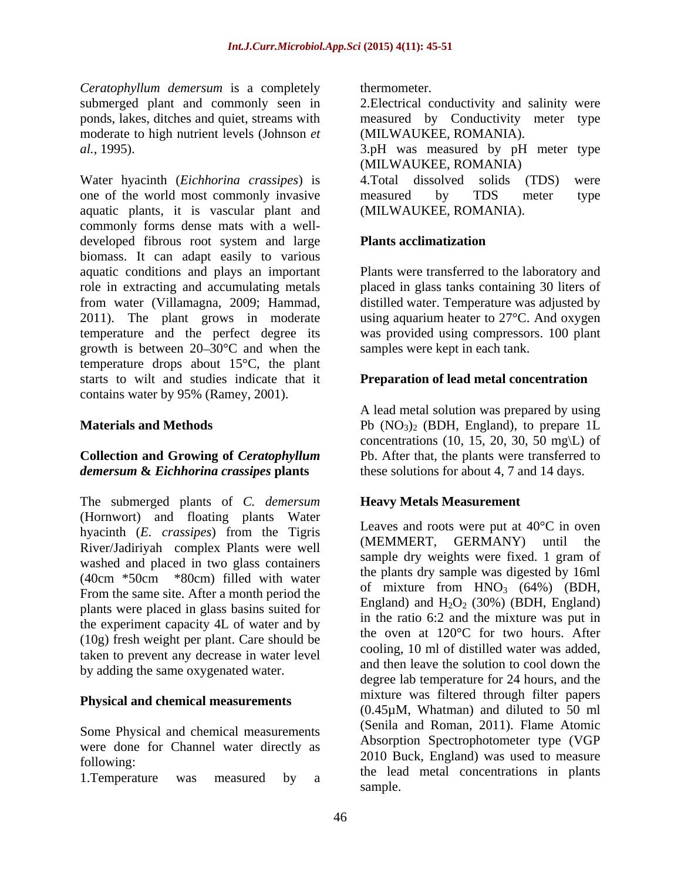*Ceratophyllum demersum* is a completely moderate to high nutrient levels (Johnson *et* 

Water hyacinth (*Eichhorina crassipes*) is one of the world most commonly invasive measured by TDS meter type aquatic plants, it is vascular plant and commonly forms dense mats with a well developed fibrous root system and large **Plants acclimatization** biomass. It can adapt easily to various aquatic conditions and plays an important role in extracting and accumulating metals placed in glass tanks containing 30 liters of from water (Villamagna, 2009; Hammad, distilled water. Temperature was adjusted by 2011). The plant grows in moderate using aquarium heater to 27°C. And oxygen temperature and the perfect degree its growth is between  $20-30$ °C and when the temperature drops about 15°C, the plant starts to wilt and studies indicate that it **Preparation of lead metal concentration** contains water by 95% (Ramey, 2001).

## **Collection and Growing of** *Ceratophyllum demersum* **&** *Eichhorina crassipes* **plants**

The submerged plants of *C. demersum* (Hornwort) and floating plants Water hyacinth (*E. crassipes*) from the Tigris Leaves and roots were put at 40°C in oven<br>(MEMMERT, GERMANY) until the River/Jadiriyah complex Plants were well washed and placed in two glass containers (40cm \*50cm \*80cm) filled with water From the same site. After a month period the plants were placed in glass basins suited for the experiment capacity 4L of water and by (10g) fresh weight per plant. Care should be taken to prevent any decrease in water level by adding the same oxygenated water.

### **Physical and chemical measurements**

Some Physical and chemical measurements were done for Channel water directly as

thermometer.

submerged plant and commonly seen in 2.Electrical conductivity and salinity were ponds, lakes, ditches and quiet, streams with measured by Conductivity meter type (MILWAUKEE, ROMANIA).

*al.*, 1995). 3.pH was measured by pH meter type (MILWAUKEE, ROMANIA)

4.Total dissolved solids (TDS) measured by TDS meter type (MILWAUKEE, ROMANIA).

## **Plants acclimatization**

Plants were transferred to the laboratory and was provided using compressors. 100 plant samples were kept in each tank.

**Materials and Methods Pb** (NO<sub>3</sub>)<sub>2</sub> (BDH, England), to prepare 1L A lead metal solution was prepared by using concentrations (10, 15, 20, 30, 50 mg $\setminus L$ ) of Pb. After that, the plants were transferred to these solutions for about 4, 7 and 14 days.

## **Heavy Metals Measurement**

following: 2010 buck, England) was used to measure 1. Temperature was measured by a the read inclusion concentrations in plants Leaves and roots were put at 40°C in oven (MEMMERT, GERMANY) until the sample dry weights were fixed. 1 gram of the plants dry sample was digested by 16ml of mixture from  $HNO<sub>3</sub>$  (64%) (BDH, England) and  $H_2O_2$  (30%) (BDH, England) in the ratio 6:2 and the mixture was put in the oven at 120°C for two hours. After cooling, 10 ml of distilled water was added, and then leave the solution to cool down the degree lab temperature for 24 hours, and the mixture was filtered through filter papers (0.45µM, Whatman) and diluted to 50 ml (Senila and Roman, 2011). Flame Atomic Absorption Spectrophotometer type (VGP 2010 Buck, England) was used to measure the lead metal concentrations in plants sample.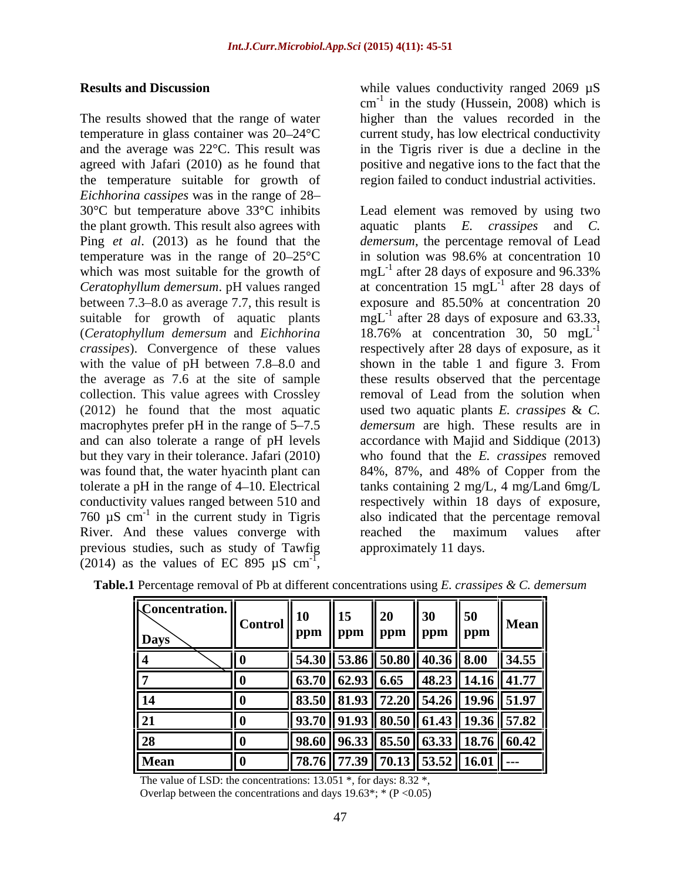The results showed that the range of water higher than the values recorded in the temperature in glass container was  $20-24\textdegree C$  current study, has low electrical conductivity and the average was 22°C. This result was in the Tigris river is due a decline in the agreed with Jafari (2010) as he found that positive and negative ions to the fact that the the temperature suitable for growth of *Eichhorina cassipes* was in the range of 28 the plant growth. This result also agrees with temperature was in the range of  $20-25$ °C which was most suitable for the growth of between  $7.3-8.0$  as average 7.7, this result is exposure and  $85.50\%$  at concentration 20 760  $\mu$ S cm<sup>-1</sup> in the current study in Tigris River. And these values converge with reached the maximum values after previous studies, such as study of Tawfig (2014) as the values of EC 895  $\mu$ S cm<sup>-1</sup>, -1

**Results and Discussion** while values conductivity ranged 2069  $\mu$ S  $cm<sup>-1</sup>$  in the study (Hussein, 2008) which is region failed to conduct industrial activities.

30°C but temperature above 33°C inhibits Lead element was removed by using two Ping *et al*. (2013) as he found that the *demersum*, the percentage removal of Lead *Ceratophyllum demersum*. pH values ranged at concentration 15 mgL suitable for growth of aquatic plants  $mgL^{-1}$  after 28 days of exposure and 63.33, (*Ceratophyllum demersum* and *Eichhorina*  18.76% at concentration 30, 50 mgL *crassipes*). Convergence of these values respectively after 28 days of exposure, as it with the value of pH between 7.8–8.0 and shown in the table 1 and figure 3. From the average as 7.6 at the site of sample these results observed that the percentage collection. This value agrees with Crossley removal of Lead from the solution when (2012) he found that the most aquatic used two aquatic plants *E. crassipes* & *C.* macrophytes prefer pH in the range of 5–7.5 *demersum* are high. These results are in and can also tolerate a range of pH levels accordance with Majid and Siddique (2013) but they vary in their tolerance. Jafari (2010) who found that the *E. crassipes* removed was found that, the water hyacinth plant can 84%, 87%, and 48% of Copper from the tolerate a pH in the range of 4 10. Electrical tanks containing 2 mg/L, 4 mg/Land 6mg/L conductivity values ranged between 510 and respectively within 18 days of exposure, <sup>-1</sup> in the current study in Tigris also indicated that the percentage removal while values conductivity ranged 2069 µS<br>
er<sup>1</sup> in the study (Hussein, 2008) which is<br>
higher than the values recorded in the<br>
current study, has low electrical conductivity<br>
in the Tigris river is due a decline in the<br>
p aquatic plants *E. crassipes* and *C.* in solution was 98.6% at concentration 10 mgL<sup>-1</sup> after 28 days of exposure and 96.33% after 28 days of exposure and 96.33%  $^{-1}$  ofter 28 days of after 28 days of exposure and 85.50% at concentration 20 -1 reached the maximum values after approximately 11 days.

| Concentration.<br><b>Days</b> | $\vert\vert$ Control $\vert\vert$ |          | . . | $\mathbf{a}$<br>$\parallel$ ppm<br>ppm    ppm    ppm                  | $\parallel$ ppm | $\parallel$ Mean              |
|-------------------------------|-----------------------------------|----------|-----|-----------------------------------------------------------------------|-----------------|-------------------------------|
|                               |                                   |          |     | $\ $ 54.30 $\ $ 53.86 $\ $ 50.80 $\ $ 40.36 $\ $ 8.00 $\ $ 34.55 $\ $ |                 |                               |
|                               |                                   |          |     | $\ $ 63.70 $\ $ 62.93 $\ $ 6.65 $\ $ 48.23 $\ $ 14.16 $\ $ 41.77 $\ $ |                 |                               |
|                               |                                   | 83.50    |     | "  81.93    72.20    54.26    19.96    51.97                          |                 |                               |
|                               |                                   | 93.70    |     | 91.93    80.50    61.43    19.36    57.82                             |                 |                               |
|                               |                                   | 98 KO II |     | 3    85.50    63.33    18.76                                          |                 | $\parallel$ 60.42 $\parallel$ |
| Mean                          |                                   | 78.76    | --  | 7.39    70.13    53.52    16.01    ---                                |                 |                               |

**Table.1** Percentage removal of Pb at different concentrations using *E. crassipes & C. demersum*

The value of LSD: the concentrations:  $13.051$ <sup>\*</sup>, for days:  $8.32$ <sup>\*</sup>, Overlap between the concentrations and days  $19.63^*$ ;  $*(P < 0.05)$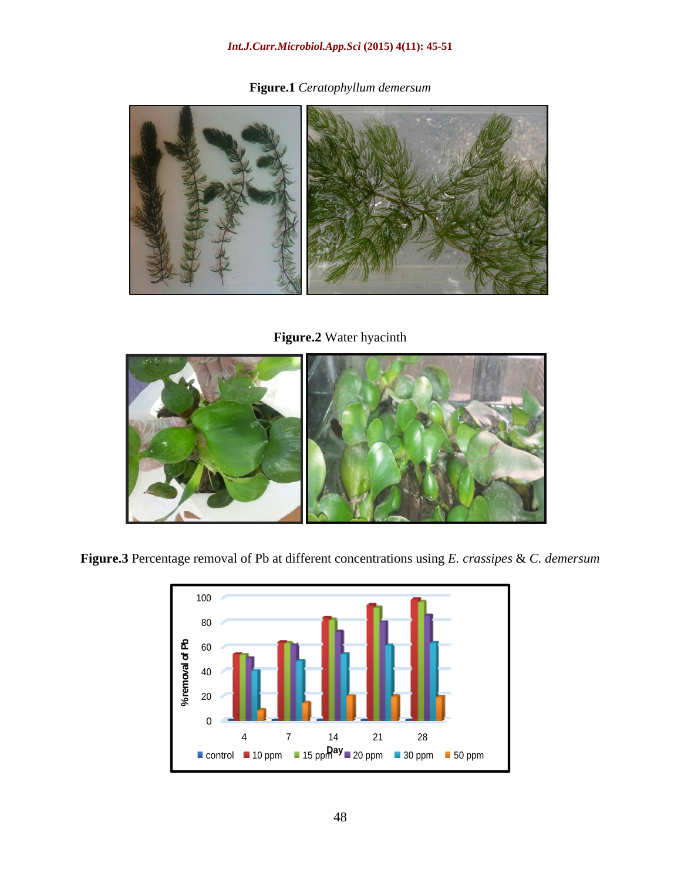#### *Int.J.Curr.Microbiol.App.Sci* **(2015) 4(11): 45-51**

**Figure.1** *Ceratophyllum demersum*



**Figure.2** Water hyacinth



**Figure.3** Percentage removal of Pb at different concentrations using *E. crassipes* & *C. demersum*

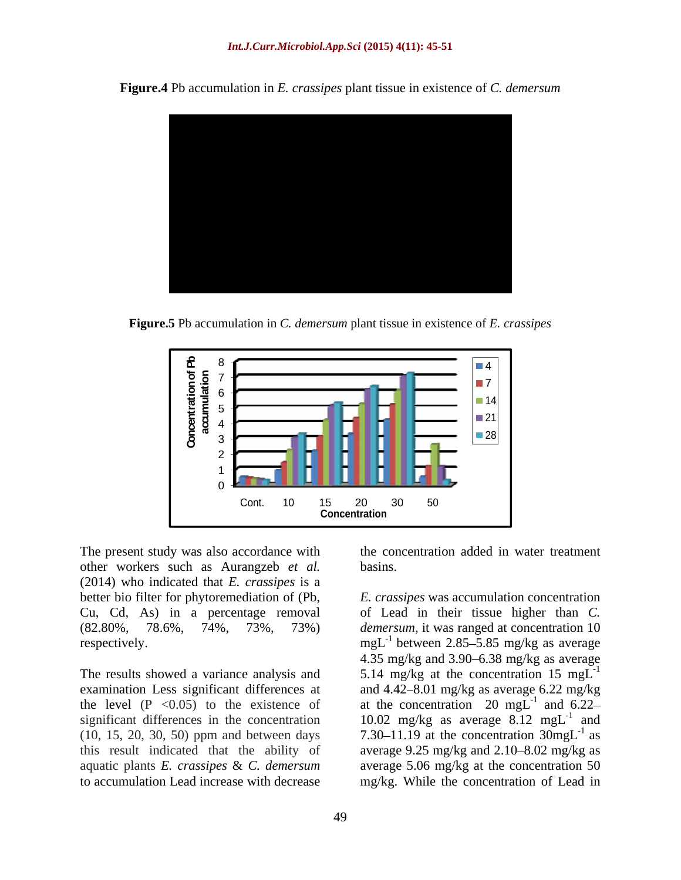

**Figure.4** Pb accumulation in *E. crassipes* plant tissue in existence of *C. demersum*

**Figure.5** Pb accumulation in *C. demersum* plant tissue in existence of *E. crassipes*



The present study was also accordance with other workers such as Aurangzeb *et al.* (2014) who indicated that *E. crassipes* is a

examination Less significant differences at the level  $(P \le 0.05)$  to the existence of at the concentration 20 mgL<sup>-1</sup> and 6.22significant differences in the concentration (10, 15, 20, 30, 50) ppm and between days this result indicated that the ability of average 9.25 mg/kg and 2.10–8.02 mg/kg as aquatic plants *E. crassipes* & *C. demersum* average 5.06 mg/kg at the concentration 50 to accumulation Lead increase with decrease mg/kg. While the concentration of Lead in

the concentration added in water treatment basins.

better bio filter for phytoremediation of (Pb, *E. crassipes* was accumulation concentration Cu, Cd, As) in a percentage removal of Lead in their tissue higher than *C.* (82.80%, 78.6%, 74%, 73%, 73%) *demersum*, it was ranged at concentration 10 respectively.  $mgL^{-1}$  between 2.85–5.85 mg/kg as average The results showed a variance analysis and  $5.14 \text{ mg/kg}$  at the concentration 15 mgL<sup>-1</sup> 4.35 mg/kg and  $3.90 - 6.38$  mg/kg as average and  $4.42 - 8.01$  mg/kg as average  $6.22$  mg/kg and 6.22 10.02 mg/kg as average  $8.12 \text{ mgL}^{-1}$  and and 7.30–11.19 at the concentration  $30$ mgL<sup>-1</sup> as as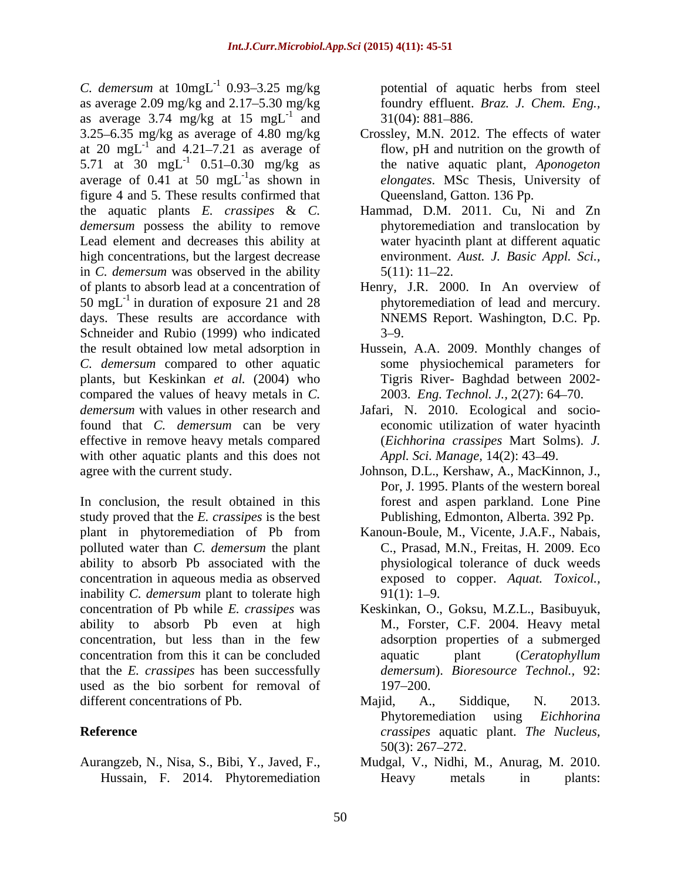*C. demersum* at  $10$ mgL<sup>-1</sup> 0.93–3.25 mg/kg as average  $2.09$  mg/kg and  $2.17 - 5.30$  mg/kg as average 3.74 mg/kg at 15 mgL<sup>-1</sup> and 31(04): 881–886. 3.25 6.35 mg/kg as average of 4.80 mg/kg Crossley, M.N. 2012. The effects of water at 20 mgL<sup>-1</sup> and 4.21–7.21 as average of 5.71 at  $30 \text{ mgL}^{-1}$  0.51-0.30 mg/kg as average of 0.41 at 50  $mgL^{-1}$  as shown in figure 4 and 5. These results confirmed that the aquatic plants *E. crassipes* & *C. demersum* possess the ability to remove Lead element and decreases this ability at high concentrations, but the largest decrease in *C. demersum* was observed in the ability  $5(11): 11-22$ . of plants to absorb lead at a concentration of Henry, J.R. 2000. In An overview of 50 mgL<sup>-1</sup> in duration of exposure 21 and 28 days. These results are accordance with Schneider and Rubio (1999) who indicated  $3-9$ . the result obtained low metal adsorption in Hussein, A.A. 2009. Monthly changes of *C. demersum* compared to other aquatic plants, but Keskinkan *et al.* (2004) who compared the values of heavy metals in *C. demersum* with values in other research and Jafari, N. 2010. Ecological and socio found that *C. demersum* can be very effective in remove heavy metals compared with other aquatic plants and this does not

In conclusion, the result obtained in this study proved that the *E. crassipes* is the best plant in phytoremediation of Pb from Kanoun-Boule, M., Vicente, J.A.F., Nabais, polluted water than *C. demersum* the plant ability to absorb Pb associated with the concentration in aqueous media as observed inability *C. demersum* plant to tolerate high 91(1): 1–9. concentration of Pb while *E. crassipes* was Keskinkan, O., Goksu, M.Z.L., Basibuyuk, ability to absorb Pb even at high concentration, but less than in the few concentration from this it can be concluded aguatic plant (Ceratophyllum that the *E. crassipes* has been successfully used as the bio sorbent for removal of 197–200. different concentrations of Pb. Majid, A., Siddique, N. 2013.

potential of aquatic herbs from steel and  $31(04): 881-886.$ potential of aquatic herbs from steel foundry effluent. *Braz. J. Chem. Eng.,*  $31(04): 881 - 886.$ 

- and 4.21–7.21 as average of flow, pH and nutrition on the growth of <sup>-1</sup> 0.51–0.30 mg/kg as the native aquatic plant, *Aponogeton* as shown in *elongates*. MSc Thesis, University of Queensland, Gatton. 136 Pp.
	- Hammad, D.M. 2011. Cu, Ni and Zn phytoremediation and translocation by water hyacinth plant at different aquatic environment. *Aust. J. Basic Appl. Sci.,*  $5(11): 11-22.$
	- phytoremediation of lead and mercury. NNEMS Report. Washington, D.C. Pp.  $3 - 9.$
	- some physiochemical parameters for Tigris River- Baghdad between 2002- 2003. *Eng. Technol. J.,* 2(27): 64 70.
	- economic utilization of water hyacinth (*Eichhorina crassipes* Mart Solms). *J. Appl. Sci. Manage,* 14(2): 43 49.
- agree with the current study. Johnson, D.L., Kershaw, A., MacKinnon, J., Por, J. 1995. Plants of the western boreal forest and aspen parkland. Lone Pine Publishing, Edmonton, Alberta. 392 Pp.
	- C., Prasad, M.N., Freitas, H. 2009. Eco physiological tolerance of duck weeds exposed to copper. *Aquat. Toxicol.,*  $91(1): 1-9.$
	- M., Forster, C.F. 2004. Heavy metal adsorption properties of a submerged aquatic plant (*Ceratophyllum demersum*). *Bioresource Technol.,* 92: 197–200.
- **Reference** *crassipes* aquatic plant. *The Nucleus,* Majid, A., Siddique, N. 2013. Phytoremediation using *Eichhorina*   $50(3)$ : 267–272.
- Aurangzeb, N., Nisa, S., Bibi, Y., Javed, F., Mudgal, V., Nidhi, M., Anurag, M. 2010. Hussain, F. 2014. Phytoremediation Heavy metals in plants: Heavy metals in plants: